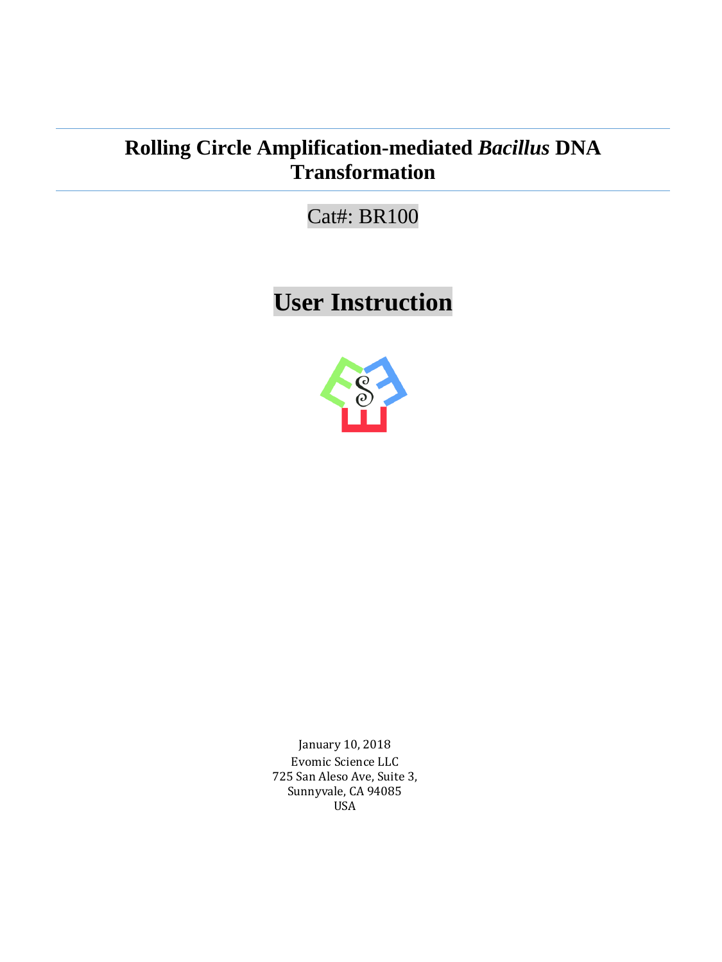# **Rolling Circle Amplification-mediated** *Bacillus* **DNA Transformation**

Cat#: BR100

**User Instruction**



January 10, 2018 Evomic Science LLC 725 San Aleso Ave, Suite 3, Sunnyvale, CA 94085 USA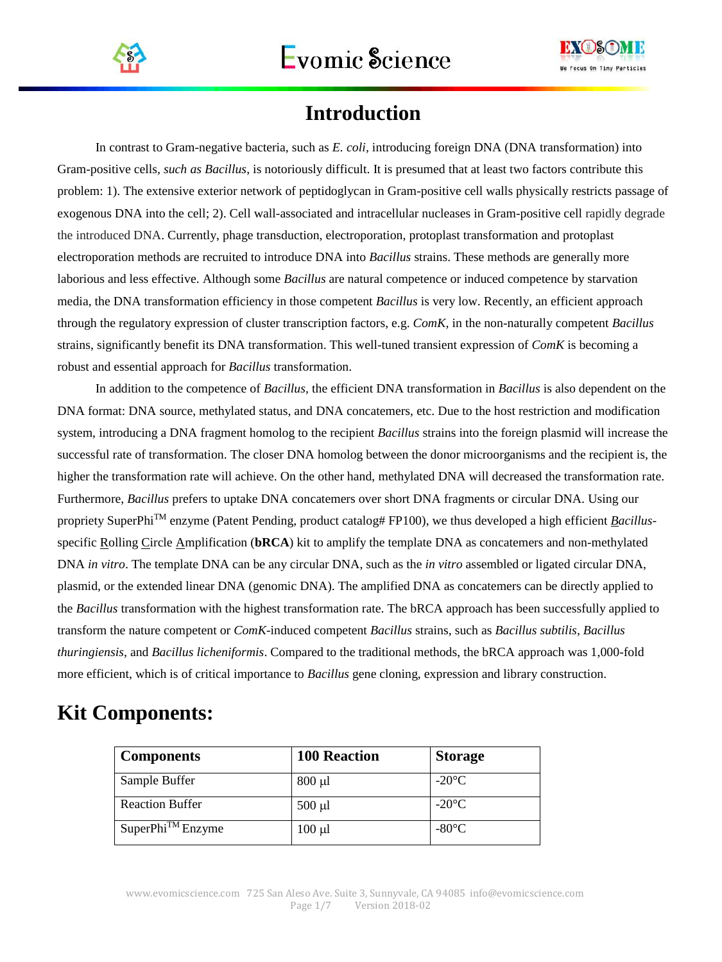



# **Introduction**

In contrast to Gram-negative bacteria, such as *E. coli,* introducing foreign DNA (DNA transformation) into Gram-positive cells*, such as Bacillus*, is notoriously difficult. It is presumed that at least two factors contribute this problem: 1). The extensive exterior network of peptidoglycan in Gram-positive cell walls physically restricts passage of exogenous DNA into the cell; 2). Cell wall-associated and intracellular nucleases in Gram-positive cell rapidly degrade the introduced DNA. Currently, phage transduction, electroporation, protoplast transformation and protoplast electroporation methods are recruited to introduce DNA into *Bacillus* strains. These methods are generally more laborious and less effective. Although some *Bacillus* are natural competence or induced competence by starvation media, the DNA transformation efficiency in those competent *Bacillus* is very low. Recently, an efficient approach through the regulatory expression of cluster transcription factors, e.g. *ComK,* in the non-naturally competent *Bacillus* strains, significantly benefit its DNA transformation. This well-tuned transient expression of *ComK* is becoming a robust and essential approach for *Bacillus* transformation.

In addition to the competence of *Bacillus,* the efficient DNA transformation in *Bacillus* is also dependent on the DNA format: DNA source, methylated status, and DNA concatemers, etc. Due to the host restriction and modification system, introducing a DNA fragment homolog to the recipient *Bacillus* strains into the foreign plasmid will increase the successful rate of transformation. The closer DNA homolog between the donor microorganisms and the recipient is, the higher the transformation rate will achieve. On the other hand, methylated DNA will decreased the transformation rate. Furthermore, *Bacillus* prefers to uptake DNA concatemers over short DNA fragments or circular DNA. Using our propriety SuperPhiTM enzyme (Patent Pending, product catalog# FP100), we thus developed a high efficient *Bacillus*specific Rolling Circle Amplification (**bRCA**) kit to amplify the template DNA as concatemers and non-methylated DNA *in vitro*. The template DNA can be any circular DNA, such as the *in vitro* assembled or ligated circular DNA, plasmid, or the extended linear DNA (genomic DNA). The amplified DNA as concatemers can be directly applied to the *Bacillus* transformation with the highest transformation rate. The bRCA approach has been successfully applied to transform the nature competent or *ComK*-induced competent *Bacillus* strains, such as *Bacillus subtilis*, *Bacillus thuringiensis*, and *Bacillus licheniformis*. Compared to the traditional methods, the bRCA approach was 1,000-fold more efficient, which is of critical importance to *Bacillus* gene cloning, expression and library construction.

# **Kit Components:**

| <b>Components</b>      | <b>100 Reaction</b> | <b>Storage</b>  |
|------------------------|---------------------|-----------------|
| Sample Buffer          | $800 \mu l$         | $-20^{\circ}$ C |
| <b>Reaction Buffer</b> | $500 \mu l$         | $-20^{\circ}$ C |
| $SuperPhi^{TM}$ Enzyme | $100 \mu l$         | $-80^{\circ}$ C |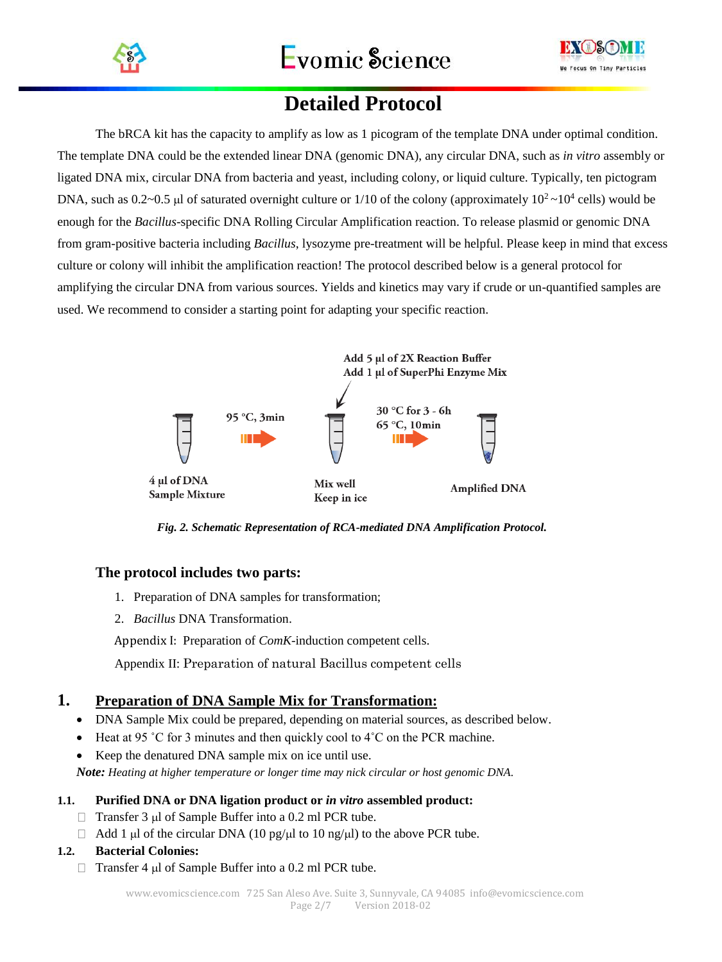



# **Detailed Protocol**

The bRCA kit has the capacity to amplify as low as 1 picogram of the template DNA under optimal condition. The template DNA could be the extended linear DNA (genomic DNA), any circular DNA, such as *in vitro* assembly or ligated DNA mix, circular DNA from bacteria and yeast, including colony, or liquid culture. Typically, ten pictogram DNA, such as  $0.2$ ~0.5 µl of saturated overnight culture or  $1/10$  of the colony (approximately  $10^2$  ~ $10^4$  cells) would be enough for the *Bacillus*-specific DNA Rolling Circular Amplification reaction. To release plasmid or genomic DNA from gram-positive bacteria including *Bacillus*, lysozyme pre-treatment will be helpful. Please keep in mind that excess culture or colony will inhibit the amplification reaction! The protocol described below is a general protocol for amplifying the circular DNA from various sources. Yields and kinetics may vary if crude or un-quantified samples are used. We recommend to consider a starting point for adapting your specific reaction.



 *Fig. 2. Schematic Representation of RCA-mediated DNA Amplification Protocol.*

## **The protocol includes two parts:**

- 1. Preparation of DNA samples for transformation;
- 2. *Bacillus* DNA Transformation.

Appendix I: Preparation of *ComK*-induction competent cells.

Appendix II: Preparation of natural Bacillus competent cells

## **1. Preparation of DNA Sample Mix for Transformation:**

- DNA Sample Mix could be prepared, depending on material sources, as described below.
- Heat at 95 °C for 3 minutes and then quickly cool to  $4^\circ$ C on the PCR machine.
- Keep the denatured DNA sample mix on ice until use.

*Note: Heating at higher temperature or longer time may nick circular or host genomic DNA.*

#### **1.1. Purified DNA or DNA ligation product or** *in vitro* **assembled product:**

- $\Box$  Transfer 3 µl of Sample Buffer into a 0.2 ml PCR tube.
- $\Box$  Add 1 µl of the circular DNA (10 pg/µl to 10 ng/µl) to the above PCR tube.

#### **1.2. Bacterial Colonies:**

 $\Box$  Transfer 4 µl of Sample Buffer into a 0.2 ml PCR tube.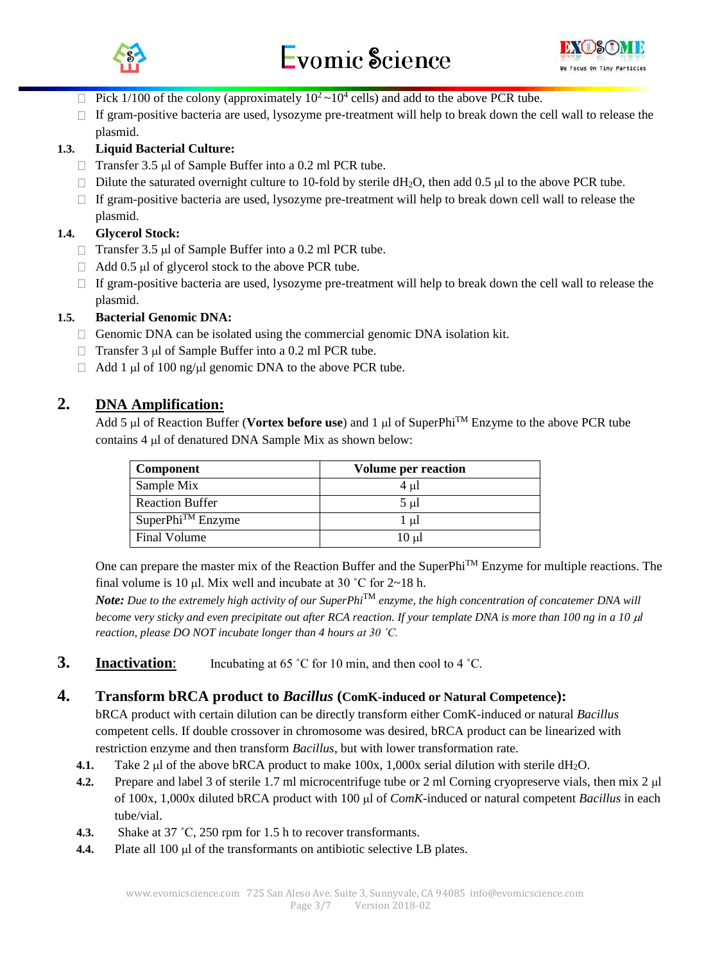



- Pick 1/100 of the colony (approximately  $10^2 \text{~} 10^4$  cells) and add to the above PCR tube.
- If gram-positive bacteria are used, lysozyme pre-treatment will help to break down the cell wall to release the  $\Box$ plasmid.

### **1.3. Liquid Bacterial Culture:**

- $\Box$  Transfer 3.5 µl of Sample Buffer into a 0.2 ml PCR tube.
- Dilute the saturated overnight culture to 10-fold by sterile  $dH_2O$ , then add 0.5 µl to the above PCR tube.
- $\Box$  If gram-positive bacteria are used, lysozyme pre-treatment will help to break down cell wall to release the plasmid.

#### **1.4. Glycerol Stock:**

- $\Box$  Transfer 3.5 µl of Sample Buffer into a 0.2 ml PCR tube.
- $\Box$  Add 0.5 µl of glycerol stock to the above PCR tube.
- $\Box$  If gram-positive bacteria are used, lysozyme pre-treatment will help to break down the cell wall to release the plasmid.

#### **1.5. Bacterial Genomic DNA:**

- $\Box$  Genomic DNA can be isolated using the commercial genomic DNA isolation kit.
- $\Box$  Transfer 3 µl of Sample Buffer into a 0.2 ml PCR tube.
- $\Box$  Add 1 µl of 100 ng/µl genomic DNA to the above PCR tube.

## **2. DNA Amplification:**

Add 5 µl of Reaction Buffer (**Vortex before use**) and 1 µl of SuperPhi<sup>TM</sup> Enzyme to the above PCR tube contains 4 µ of denatured DNA Sample Mix as shown below:

| <b>Component</b>       | <b>Volume per reaction</b> |
|------------------------|----------------------------|
| Sample Mix             | 4 ul                       |
| <b>Reaction Buffer</b> | $5 \mu l$                  |
| $SuperPhi^{TM}$ Enzyme | $1 \mu$                    |
| <b>Final Volume</b>    | $10 \mu$                   |

One can prepare the master mix of the Reaction Buffer and the SuperPhiTM Enzyme for multiple reactions. The final volume is 10  $\mu$ l. Mix well and incubate at 30 °C for 2~18 h.

*Note: Due to the extremely high activity of our SuperPhi*TM *enzyme, the high concentration of concatemer DNA will become very sticky and even precipitate out after RCA reaction. If your template DNA is more than 100 ng in a 10*  $\mu$ *l reaction, please DO NOT incubate longer than 4 hours at 30 ˚C.*

**3. Inactivation:** Incubating at 65 °C for 10 min, and then cool to 4 °C.

#### **4. Transform bRCA product to** *Bacillus* **(ComK-induced or Natural Competence):**

bRCA product with certain dilution can be directly transform either ComK-induced or natural *Bacillus* competent cells. If double crossover in chromosome was desired, bRCA product can be linearized with restriction enzyme and then transform *Bacillus*, but with lower transformation rate.

- **4.1.** Take 2  $\mu$ l of the above bRCA product to make 100x, 1,000x serial dilution with sterile dH<sub>2</sub>O.
- **4.2.** Prepare and label 3 of sterile 1.7 ml microcentrifuge tube or 2 ml Corning cryopreserve vials, then mix 2 µl of 100x, 1,000x diluted bRCA product with 100 µl of *ComK*-induced or natural competent *Bacillus* in each tube/vial.
- **4.3.** Shake at 37 ˚C, 250 rpm for 1.5 h to recover transformants.
- **4.4.** Plate all 100 µ of the transformants on antibiotic selective LB plates.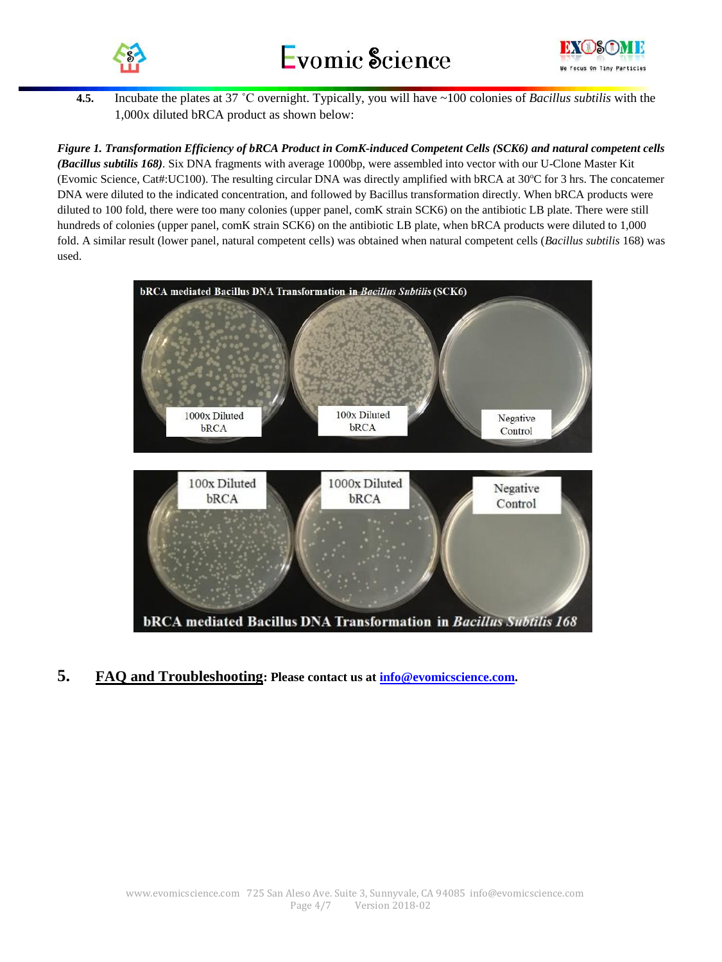



**4.5.** Incubate the plates at 37 ˚C overnight. Typically, you will have ~100 colonies of *Bacillus subtilis* with the 1,000x diluted bRCA product as shown below:

*Figure 1. Transformation Efficiency of bRCA Product in ComK-induced Competent Cells (SCK6) and natural competent cells (Bacillus subtilis 168).* Six DNA fragments with average 1000bp, were assembled into vector with our U-Clone Master Kit (Evomic Science, Cat#:UC100). The resulting circular DNA was directly amplified with bRCA at  $30^{\circ}$ C for 3 hrs. The concatemer DNA were diluted to the indicated concentration, and followed by Bacillus transformation directly. When bRCA products were diluted to 100 fold, there were too many colonies (upper panel, comK strain SCK6) on the antibiotic LB plate. There were still hundreds of colonies (upper panel, comK strain SCK6) on the antibiotic LB plate, when bRCA products were diluted to 1,000 fold. A similar result (lower panel, natural competent cells) was obtained when natural competent cells (*Bacillus subtilis* 168) was used.



**5. FAQ and Troubleshooting: Please contact us at [info@evomicscience.com.](mailto:info@evomicscience.com)**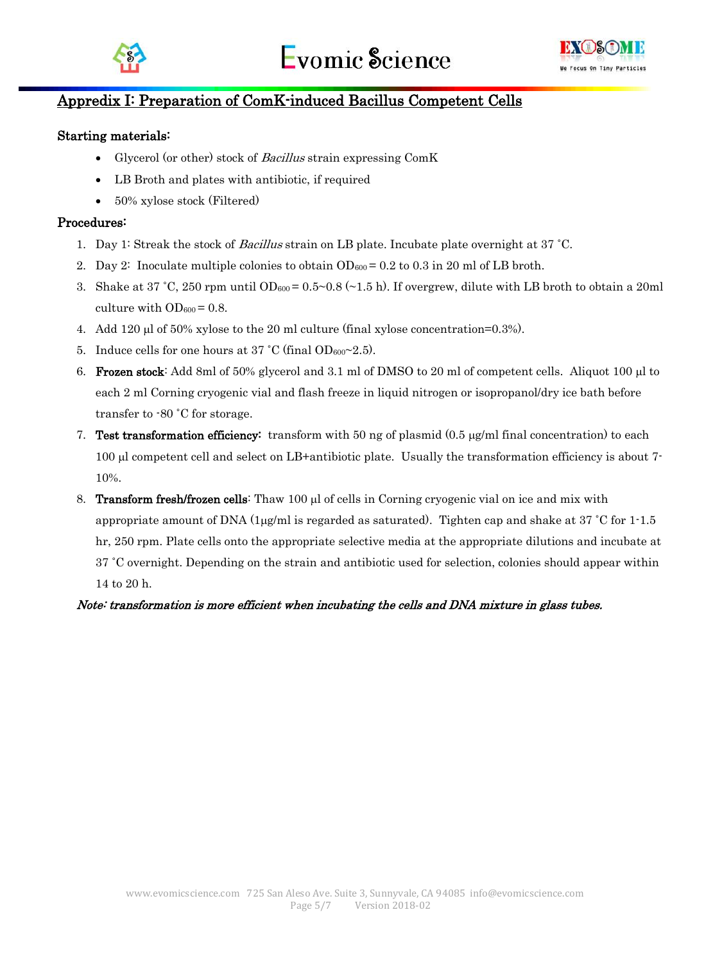



# Appredix I: Preparation of ComK-induced Bacillus Competent Cells

#### Starting materials:

- Glycerol (or other) stock of *Bacillus* strain expressing ComK
- LB Broth and plates with antibiotic, if required
- 50% xylose stock (Filtered)

#### Procedures:

- 1. Day 1: Streak the stock of Bacillus strain on LB plate. Incubate plate overnight at 37 ˚C.
- 2. Day 2: Inoculate multiple colonies to obtain  $OD_{600} = 0.2$  to 0.3 in 20 ml of LB broth.
- 3. Shake at 37 °C, 250 rpm until OD<sub>600</sub> = 0.5~0.8 (~1.5 h). If overgrew, dilute with LB broth to obtain a 20ml culture with  $OD_{600} = 0.8$ .
- 4. Add  $120 \mu$  of 50% xylose to the 20 ml culture (final xylose concentration=0.3%).
- 5. Induce cells for one hours at  $37 \degree C$  (final OD<sub>600</sub> $\sim$ 2.5).
- 6. Frozen stock: Add 8ml of 50% glycerol and 3.1 ml of DMSO to 20 ml of competent cells. Aliquot 100  $\mu$ l to each 2 ml Corning cryogenic vial and flash freeze in liquid nitrogen or isopropanol/dry ice bath before transfer to -80 ˚C for storage.
- 7. Test transformation efficiency: transform with 50 ng of plasmid  $(0.5 \text{ µg/ml final concentration})$  to each 100 µl competent cell and select on LB+antibiotic plate. Usually the transformation efficiency is about 7-10%.
- 8. **Transform fresh/frozen cells:** Thaw 100  $\mu$  of cells in Corning cryogenic vial on ice and mix with appropriate amount of DNA (1 $\mu$ g/ml is regarded as saturated). Tighten cap and shake at 37 °C for 1-1.5 hr, 250 rpm. Plate cells onto the appropriate selective media at the appropriate dilutions and incubate at 37 ˚C overnight. Depending on the strain and antibiotic used for selection, colonies should appear within 14 to 20 h.

#### Note: transformation is more efficient when incubating the cells and DNA mixture in glass tubes.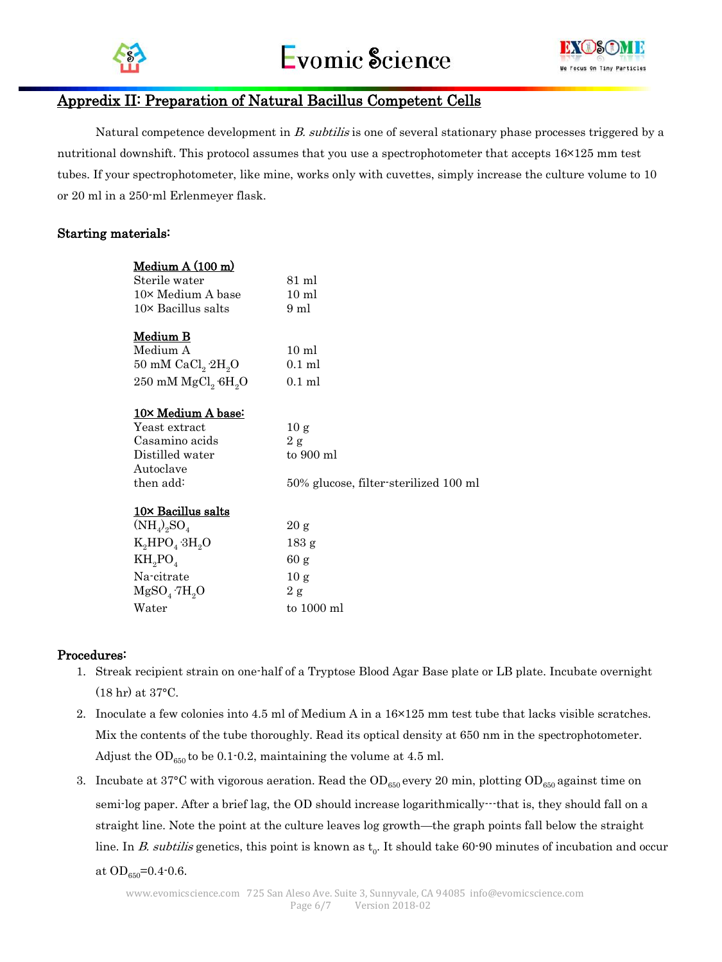



# Appredix II: Preparation of Natural Bacillus Competent Cells

Natural competence development in B. subtilis is one of several stationary phase processes triggered by a nutritional downshift. This protocol assumes that you use a spectrophotometer that accepts  $16\times125$  mm test tubes. If your spectrophotometer, like mine, works only with cuvettes, simply increase the culture volume to 10 or 20 ml in a 250-ml Erlenmeyer flask.

#### Starting materials:

| Medium A (100 m)                 |                                       |
|----------------------------------|---------------------------------------|
| Sterile water                    | 81 ml                                 |
| 10× Medium A base                | $10 \text{ ml}$                       |
| $10\times$ Bacillus salts        | 9 ml                                  |
|                                  |                                       |
| <u>Medium B</u>                  |                                       |
| Medium A                         | $10 \text{ ml}$                       |
| 50 mM $CaCl2 2H2O$               | $0.1$ ml                              |
| 250 mM $MgCl2$ 6H <sub>2</sub> O | $0.1$ ml                              |
|                                  |                                       |
| <u>10× Medium A base:</u>        |                                       |
| Yeast extract                    | 10 g                                  |
| Casamino acids                   | 2 g                                   |
| Distilled water                  | to 900 ml                             |
| Autoclave                        |                                       |
| then add:                        | 50% glucose, filter-sterilized 100 ml |
| 10× Bacillus salts               |                                       |
| $(NH_4)_2SO_4$                   | 20 g                                  |
|                                  |                                       |
| $K_2HPO_4 \cdot 3H_2O$           | 183 g                                 |
| $KH_{2}PO_{4}$                   | 60 g                                  |
| Na-citrate                       | 10 <sub>g</sub>                       |
| $MgSO_{4}\cdot7H_{2}O$           | 2 g                                   |
| Water                            | to 1000 ml                            |

#### Procedures:

- 1. Streak recipient strain on one-half of a Tryptose Blood Agar Base plate or LB plate. Incubate overnight (18 hr) at 37°C.
- 2. Inoculate a few colonies into 4.5 ml of Medium A in a 16×125 mm test tube that lacks visible scratches. Mix the contents of the tube thoroughly. Read its optical density at 650 nm in the spectrophotometer. Adjust the  $OD_{650}$  to be 0.1-0.2, maintaining the volume at 4.5 ml.
- 3. Incubate at 37°C with vigorous aeration. Read the  $OD_{650}$  every 20 min, plotting  $OD_{650}$  against time on semi-log paper. After a brief lag, the OD should increase logarithmically---that is, they should fall on a straight line. Note the point at the culture leaves log growth—the graph points fall below the straight line. In *B. subtilis* genetics, this point is known as  $t_0$ . It should take 60-90 minutes of incubation and occur at  $OD_{650} = 0.4 - 0.6$ .